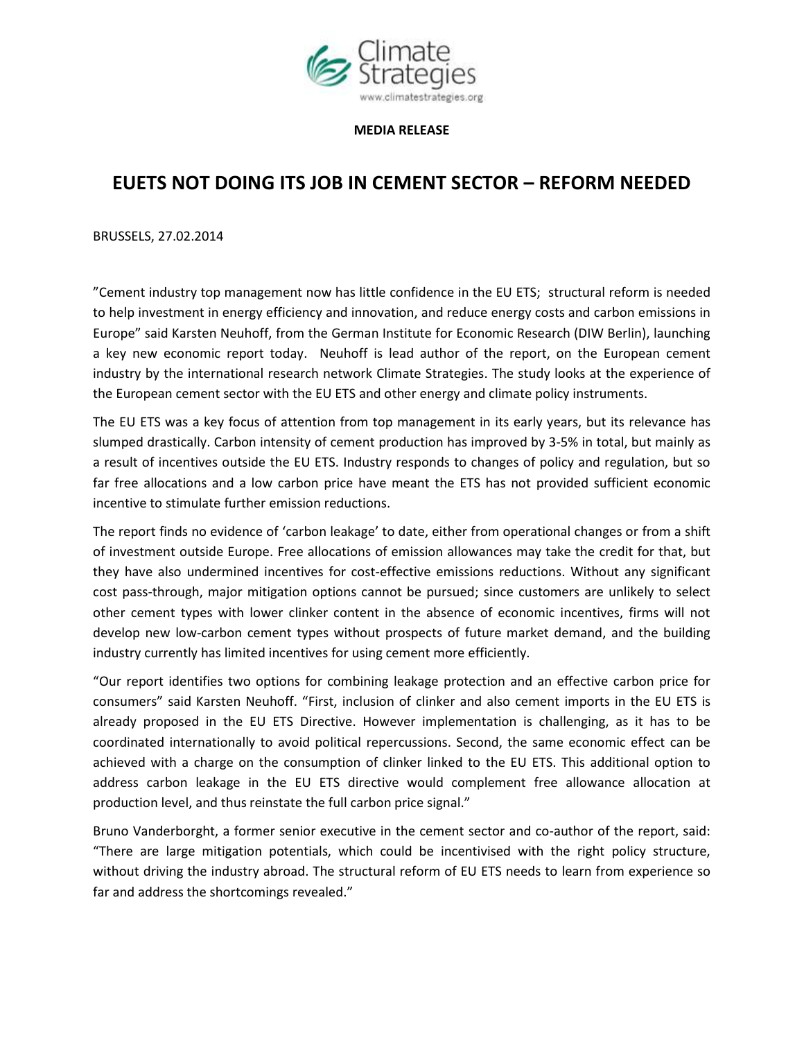

**MEDIA RELEASE**

## **EUETS NOT DOING ITS JOB IN CEMENT SECTOR – REFORM NEEDED**

BRUSSELS, 27.02.2014

"Cement industry top management now has little confidence in the EU ETS; structural reform is needed to help investment in energy efficiency and innovation, and reduce energy costs and carbon emissions in Europe" said Karsten Neuhoff, from the German Institute for Economic Research (DIW Berlin), launching a key new economic report today. Neuhoff is lead author of the report, on the European cement industry by the international research network Climate Strategies. The study looks at the experience of the European cement sector with the EU ETS and other energy and climate policy instruments.

The EU ETS was a key focus of attention from top management in its early years, but its relevance has slumped drastically. Carbon intensity of cement production has improved by 3-5% in total, but mainly as a result of incentives outside the EU ETS. Industry responds to changes of policy and regulation, but so far free allocations and a low carbon price have meant the ETS has not provided sufficient economic incentive to stimulate further emission reductions.

The report finds no evidence of 'carbon leakage' to date, either from operational changes or from a shift of investment outside Europe. Free allocations of emission allowances may take the credit for that, but they have also undermined incentives for cost-effective emissions reductions. Without any significant cost pass-through, major mitigation options cannot be pursued; since customers are unlikely to select other cement types with lower clinker content in the absence of economic incentives, firms will not develop new low-carbon cement types without prospects of future market demand, and the building industry currently has limited incentives for using cement more efficiently.

"Our report identifies two options for combining leakage protection and an effective carbon price for consumers" said Karsten Neuhoff. "First, inclusion of clinker and also cement imports in the EU ETS is already proposed in the EU ETS Directive. However implementation is challenging, as it has to be coordinated internationally to avoid political repercussions. Second, the same economic effect can be achieved with a charge on the consumption of clinker linked to the EU ETS. This additional option to address carbon leakage in the EU ETS directive would complement free allowance allocation at production level, and thus reinstate the full carbon price signal."

Bruno Vanderborght, a former senior executive in the cement sector and co-author of the report, said: "There are large mitigation potentials, which could be incentivised with the right policy structure, without driving the industry abroad. The structural reform of EU ETS needs to learn from experience so far and address the shortcomings revealed."